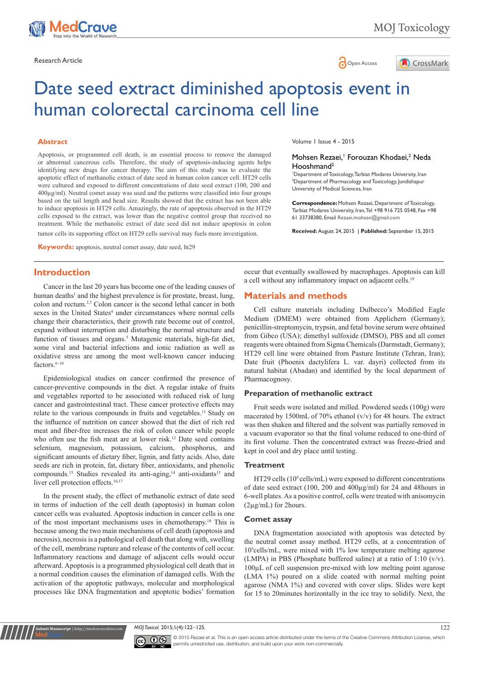



# Date seed extract diminished apoptosis event in human colorectal carcinoma cell line

#### **Abstract**

Apoptosis, or programmed cell death, is an essential process to remove the damaged or abnormal cancerous cells. Therefore, the study of apoptosis-inducing agents helps identifying new drugs for cancer therapy. The aim of this study was to evaluate the apoptotic effect of methanolic extract of date seed in human colon cancer cell. HT29 cells were cultured and exposed to different concentrations of date seed extract (100, 200 and 400µg/ml). Neutral comet assay was used and the patterns were classified into four groups based on the tail length and head size. Results showed that the extract has not been able to induce apoptosis in HT29 cells. Amazingly, the rate of apoptosis observed in the HT29 cells exposed to the extract, was lower than the negative control group that received no treatment. While the methanolic extract of date seed did not induce apoptosis in colon tumor cells its supporting effect on HT29 cells survival may fuels more investigation.

**Keywords:** apoptosis, neutral comet assay, date seed, ht29

# **Introduction**

Cancer in the last 20 years has become one of the leading causes of human deaths<sup>1</sup> and the highest prevalence is for prostate, breast, lung, colon and rectum.2,3 Colon cancer is the second lethal cancer in both sexes in the United States<sup>4</sup> under circumstances where normal cells change their characteristics, their growth rate become out of control, expand without interruption and disturbing the normal structure and function of tissues and organs.<sup>5</sup> Mutagenic materials, high-fat diet, some viral and bacterial infections and ionic radiation as well as oxidative stress are among the most well-known cancer inducing factors.<sup>6–10</sup>

Epidemiological studies on cancer confirmed the presence of cancer-preventive compounds in the diet. A regular intake of fruits and vegetables reported to be associated with reduced risk of lung cancer and gastrointestinal tract. These cancer protective effects may relate to the various compounds in fruits and vegetables.<sup>11</sup> Study on the influence of nutrition on cancer showed that the diet of rich red meat and fiber-free increases the risk of colon cancer while people who often use the fish meat are at lower risk.<sup>12</sup> Date seed contains selenium, magnesium, potassium, calcium, phosphorus, and significant amounts of dietary fiber, lignin, and fatty acids. Also, date seeds are rich in protein, fat, dietary fiber, antioxidants, and phenolic compounds.<sup>13</sup> Studies revealed its anti-aging,<sup>14</sup> anti-oxidants<sup>15</sup> and liver cell protection effects.<sup>16,17</sup>

In the present study, the effect of methanolic extract of date seed in terms of induction of the cell death (apoptosis) in human colon cancer cells was evaluated. Apoptosis induction in cancer cells is one of the most important mechanisms uses in chemotherapy.18 This is because among the two main mechanisms of cell death (apoptosis and necrosis), necrosis is a pathological cell death that along with, swelling of the cell, membrane rupture and release of the contents of cell occur. Inflammatory reactions and damage of adjacent cells would occur afterward. Apoptosis is a programmed physiological cell death that in a normal condition causes the elimination of damaged cells. With the activation of the apoptotic pathways, molecular and morphological processes like DNA fragmentation and apoptotic bodies' formation

**it Manuscript** | http://medcraveonline.

Volume 1 Issue 4 - 2015

#### Mohsen Rezaei,<sup>1</sup> Forouzan Khodaei,<sup>2</sup> Neda Hooshmand2

1 Department of Toxicology, Tarbiat Modares University, Iran 2 Department of Pharmacology and Toxicology, Jundishapur University of Medical Sciences, Iran

**Correspondence:** Mohsen Rezaei, Department of Toxicology, Tarbiat Modares University, Iran, Tel +98 916 725 0548, Fax +98 61 33738380, Email Rezaei.mohsen@gmail.com

**Received:** August 24, 2015 | **Published:** September 15, 2015

occur that eventually swallowed by macrophages. Apoptosis can kill a cell without any inflammatory impact on adjacent cells.<sup>19</sup>

# **Materials and methods**

Cell culture materials including Dulbecco's Modified Eagle Medium (DMEM) were obtained from Applichem (Germany); penicillin-streptomycin, trypsin, and fetal bovine serum were obtained from Gibco (USA); dimethyl sulfoxide (DMSO), PBS and all comet reagents were obtained from Sigma Chemicals (Darmstadt, Germany); HT29 cell line were obtained from Pasture Institute (Tehran, Iran); Date fruit (Phoenix dactylifera L. var. dayri) collected from its natural habitat (Abadan) and identified by the local department of Pharmacognosy.

#### **Preparation of methanolic extract**

Fruit seeds were isolated and milled. Powdered seeds (100g) were macerated by 1500mL of 70% ethanol (v/v) for 48 hours. The extract was then shaken and filtered and the solvent was partially removed in a vacuum evaporator so that the final volume reduced to one-third of its first volume. Then the concentrated extract was freeze-dried and kept in cool and dry place until testing.

# **Treatment**

HT29 cells (10<sup>6</sup> cells/mL) were exposed to different concentrations of date seed extract (100, 200 and 400µg/ml) for 24 and 48hours in 6-well plates. As a positive control, cells were treated with anisomycin (2µg/mL) for 2hours.

#### **Comet assay**

DNA fragmentation associated with apoptosis was detected by the neutral comet assay method. HT29 cells, at a concentration of 105 cells/mL, were mixed with 1% low temperature melting agarose (LMPA) in PBS (Phosphate buffered saline) at a ratio of 1:10 (v/v). 100µL of cell suspension pre-mixed with low melting point agarose (LMA 1%) poured on a slide coated with normal melting point agarose (NMA 1%) and covered with cover slips. Slides were kept for 15 to 20minutes horizontally in the ice tray to solidify. Next, the

*MOJ* Toxicol. 2015;1(4):122–125. 122



© 2015 Rezaei et al. This is an open access article distributed under the terms of the [Creative Commons Attribution License,](https://creativecommons.org/licenses/by-nc/4.0/) which permits unrestricted use, distribution, and build upon your work non-commercially.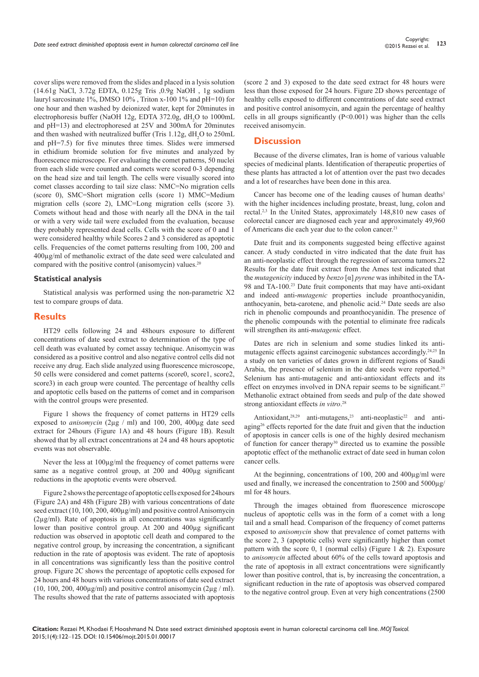cover slips were removed from the slides and placed in a lysis solution (14.61g NaCl, 3.72g EDTA, 0.125g Tris ,0.9g NaOH , 1g sodium lauryl sarcosinate 1%, DMSO 10% , Triton x-100 1% and pH=10) for one hour and then washed by deionized water, kept for 20minutes in electrophoresis buffer (NaOH 12g, EDTA 372.0g, dH<sub>2</sub>O to 1000mL and pH=13) and electrophoresed at 25V and 300mA for 20minutes and then washed with neutralized buffer (Tris  $1.12g$ ,  $dH<sub>2</sub>O$  to  $250mL$ and pH=7.5) for five minutes three times. Slides were immersed in ethidium bromide solution for five minutes and analyzed by fluorescence microscope. For evaluating the comet patterns, 50 nuclei from each slide were counted and comets were scored 0-3 depending on the head size and tail length. The cells were visually scored into comet classes according to tail size class: NMC=No migration cells (score 0), SMC=Short migration cells (score 1) MMC=Medium migration cells (score 2), LMC=Long migration cells (score 3). Comets without head and those with nearly all the DNA in the tail or with a very wide tail were excluded from the evaluation, because they probably represented dead cells. Cells with the score of 0 and 1 were considered healthy while Scores 2 and 3 considered as apoptotic cells. Frequencies of the comet patterns resulting from 100, 200 and 400µg/ml of methanolic extract of the date seed were calculated and compared with the positive control (anisomycin) values.<sup>20</sup>

#### **Statistical analysis**

Statistical analysis was performed using the non-parametric X2 test to compare groups of data.

#### **Results**

HT29 cells following 24 and 48hours exposure to different concentrations of date seed extract to determination of the type of cell death was evaluated by comet assay technique. Anisomycin was considered as a positive control and also negative control cells did not receive any drug. Each slide analyzed using fluorescence microscope, 50 cells were considered and comet patterns (score0, score1, score2, score3) in each group were counted. The percentage of healthy cells and apoptotic cells based on the patterns of comet and in comparison with the control groups were presented.

Figure 1 shows the frequency of comet patterns in HT29 cells exposed to *anisomycin* (2µg / ml) and 100, 200, 400µg date seed extract for 24hours (Figure 1A) and 48 hours (Figure 1B). Result showed that by all extract concentrations at 24 and 48 hours apoptotic events was not observable.

Never the less at  $100\mu$ g/ml the frequency of comet patterns were same as a negative control group, at 200 and 400µg significant reductions in the apoptotic events were observed.

Figure 2 shows the percentage of apoptotic cells exposed for 24hours (Figure 2A) and 48h (Figure 2B) with various concentrations of date seed extract (10, 100, 200, 400µg/ml) and positive control Anisomycin (2µg/ml). Rate of apoptosis in all concentrations was significantly lower than positive control group. At 200 and 400µg significant reduction was observed in apoptotic cell death and compared to the negative control group, by increasing the concentration, a significant reduction in the rate of apoptosis was evident. The rate of apoptosis in all concentrations was significantly less than the positive control group. Figure 2C shows the percentage of apoptotic cells exposed for 24 hours and 48 hours with various concentrations of date seed extract (10, 100, 200, 400 $\mu$ g/ml) and positive control anisomycin (2 $\mu$ g / ml). The results showed that the rate of patterns associated with apoptosis

(score 2 and 3) exposed to the date seed extract for 48 hours were less than those exposed for 24 hours. Figure 2D shows percentage of healthy cells exposed to different concentrations of date seed extract and positive control anisomycin, and again the percentage of healthy cells in all groups significantly  $(P<0.001)$  was higher than the cells received anisomycin.

#### **Discussion**

Because of the diverse climates, Iran is home of various valuable species of medicinal plants. Identification of therapeutic properties of these plants has attracted a lot of attention over the past two decades and a lot of researches have been done in this area.

Cancer has become one of the leading causes of human deaths<sup>1</sup> with the higher incidences including prostate, breast, lung, colon and rectal.2,3 In the United States, approximately 148,810 new cases of colorectal cancer are diagnosed each year and approximately 49,960 of Americans die each year due to the colon cancer.<sup>21</sup>

Date fruit and its components suggested being effective against cancer. A study conducted in vitro indicated that the date fruit has an anti-neoplastic effect through the regression of sarcoma tumors.22 Results for the date fruit extract from the Ames test indicated that the *mutagenicity* induced by *benzo* [α] *pyrene* was inhibited in the TA-98 and TA-100.23 Date fruit components that may have anti-oxidant and indeed anti-*mutagenic* properties include proanthocyanidin, anthocyanin, beta-carotene, and phenolic acid.24 Date seeds are also rich in phenolic compounds and proanthocyanidin. The presence of the phenolic compounds with the potential to eliminate free radicals will strengthen its anti-*mutagenic* effect.

Dates are rich in selenium and some studies linked its antimutagenic effects against carcinogenic substances accordingly.<sup>24,25</sup> In a study on ten varieties of dates grown in different regions of Saudi Arabia, the presence of selenium in the date seeds were reported.<sup>26</sup> Selenium has anti-mutagenic and anti-antioxidant effects and its effect on enzymes involved in DNA repair seems to be significant.<sup>27</sup> Methanolic extract obtained from seeds and pulp of the date showed strong antioxidant effects *in vitro*. 28

Antioxidant, $28,29$  anti-mutagens, $23$  anti-neoplastic<sup>22</sup> and antiaging26 effects reported for the date fruit and given that the induction of apoptosis in cancer cells is one of the highly desired mechanism of function for cancer therapy<sup>30</sup> directed us to examine the possible apoptotic effect of the methanolic extract of date seed in human colon cancer cells.

At the beginning, concentrations of 100, 200 and 400µg/ml were used and finally, we increased the concentration to 2500 and 5000µg/ ml for 48 hours.

Through the images obtained from fluorescence microscope nucleus of apoptotic cells was in the form of a comet with a long tail and a small head. Comparison of the frequency of comet patterns exposed to *anisomycin* show that prevalence of comet patterns with the score 2, 3 (apoptotic cells) were significantly higher than comet pattern with the score 0, 1 (normal cells) (Figure 1  $\&$  2). Exposure to *anisomycin* affected about 60% of the cells toward apoptosis and the rate of apoptosis in all extract concentrations were significantly lower than positive control, that is, by increasing the concentration, a significant reduction in the rate of apoptosis was observed compared to the negative control group. Even at very high concentrations (2500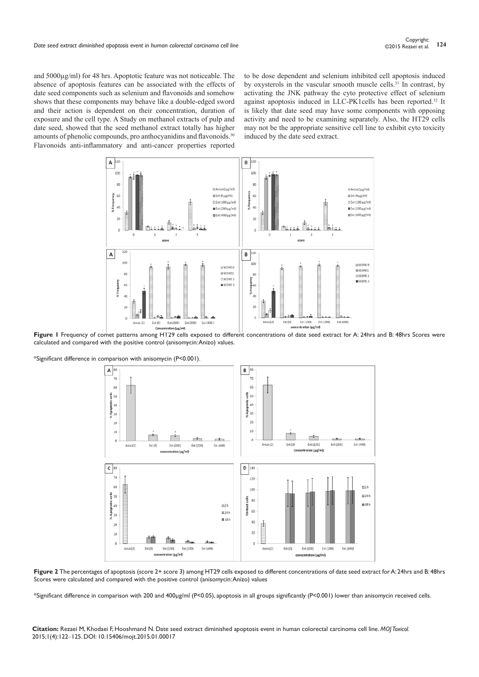and 5000µg/ml) for 48 hrs. Apoptotic feature was not noticeable. The absence of apoptosis features can be associated with the effects of date seed components such as selenium and flavonoids and somehow shows that these components may behave like a double-edged sword and their action is dependent on their concentration, duration of exposure and the cell type. A Study on methanol extracts of pulp and date seed, showed that the seed methanol extract totally has higher amounts of phenolic compounds, pro anthocyanidins and flavonoids.<sup>30</sup> Flavonoids anti-inflammatory and anti-cancer properties reported

to be dose dependent and selenium inhibited cell apoptosis induced by oxysterols in the vascular smooth muscle cells.<sup>31</sup> In contrast, by activating the JNK pathway the cyto protective effect of selenium against apoptosis induced in LLC-PK1cells has been reported.32 It is likely that date seed may have some components with opposing activity and need to be examining separately. Also, the HT29 cells may not be the appropriate sensitive cell line to exhibit cyto toxicity induced by the date seed extract.



**Figure 1** Frequency of comet patterns among HT29 cells exposed to different concentrations of date seed extract for A: 24hrs and B: 48hrs Scores were calculated and compared with the positive control (anisomycin: Anizo) values.

\*Significant difference in comparison with anisomycin (P<0.001).



**Figure 2** The percentages of apoptosis (score 2+ score 3) among HT29 cells exposed to different concentrations of date seed extract for A: 24hrs and B: 48hrs Scores were calculated and compared with the positive control (anisomycin: Anizo) values

\*Significant difference in comparison with 200 and 400µg/ml (P<0.05), apoptosis in all groups significantly (P<0.001) lower than anisomycin received cells.

**Citation:** Rezaei M, Khodaei F, Hooshmand N. Date seed extract diminished apoptosis event in human colorectal carcinoma cell line. *MOJ Toxicol.* 2015;1(4):122‒125. DOI: [10.15406/mojt.2015.01.00017](https://doi.org/10.15406/mojt.2015.01.00017)